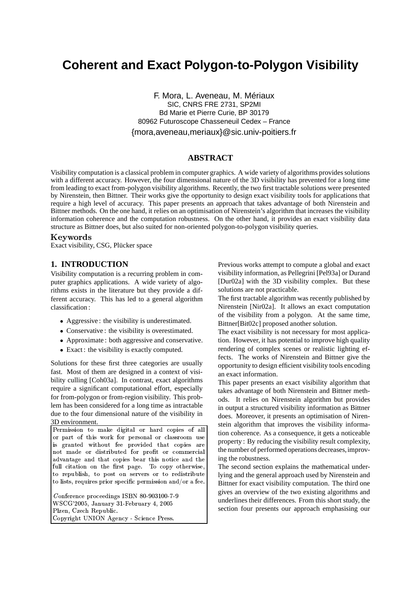# **Coherent and Exact Polygon-to-Polygon Visibility**

F. Mora, L. Aveneau, M. Mériaux SIC, CNRS FRE 2731, SP2MI Bd Marie et Pierre Curie, BP 30179 80962 Futuroscope Chasseneuil Cedex – France {mora,aveneau,meriaux}@sic.univ-poitiers.fr

## **ABSTRACT**

Visibility computation is a classical problem in computer graphics. A wide variety of algorithms providessolutions with a different accuracy. However, the four dimensional nature of the 3D visibility has prevented for a long time from leading to exact from-polygon visibility algorithms. Recently, the two first tractable solutions were presented by Nirenstein, then Bittner. Their works give the opportunity to design exact visibility tools for applications that require a high level of accuracy. This paper presents an approach that takes advantage of both Nirenstein and Bittner methods. On the one hand, it relies on an optimisation of Nirenstein's algorithm that increases the visibility information coherence and the computation robustness. On the other hand, it provides an exact visibility data structure as Bittner does, but also suited for non-oriented polygon-to-polygon visibility queries.

#### -

Exact visibility, CSG, Plücker space

## **1. INTRODUCTION**

Visibility computation is a recurring problem in computer graphics applications. A wide variety of algorithms exists in the literature but they provide a different accuracy. This has led to a general algorithm classification :

- Aggressive : the visibility is underestimated.
- Conservative : the visibility is overestimated.
- Approximate: both aggressive and conservative.
- Exact : the visibility is exactly computed.

Solutions for these first three categories are usually fast. Most of them are designed in a context of visibility culling [Coh03a]. In contrast, exact algorithms require a significant computational effort, especially for from-polygon or from-region visibility. This problem has been considered for a long time as intractable due to the four dimensional nature of the visibility in 3D environment.

Permission to make digital or hard copies of all or part of this work for personal or classroom use F(\$\*!0G4%H; )-'D'-6I4J3':KGA%'L%M-9!:F14\$3/4 !: not made or distributed for profit or commercial advantage and that copies bear this notice and the 6ID'+A+14)\*!0\$.Z-',S/B[3/!\$(\$\^]\_T14\$3C`50-/; a O3/D/Q'+A-ba53?\$Bc-Kd,\$eOL%'BQ/DP to lists, requires prior specific permission and/or a fee.

 $\alpha$  and  $\alpha$  is the state of  $\alpha$ WSCG'2005, January 31-February 4, 2005 Plzen, Czech Republic.  $\sim$  3C  $-$  1  $\sim$  1  $\sim$  1  $\sim$  1  $\sim$  1  $\sim$  1  $\sim$  1  $\sim$  1  $\sim$  1  $\sim$  1  $\sim$  1  $\sim$  1  $\sim$  1  $\sim$  1  $\sim$  1  $\sim$  1  $\sim$  1  $\sim$  1  $\sim$  1  $\sim$  1  $\sim$  1  $\sim$  1  $\sim$  1  $\sim$  1  $\sim$  1  $\sim$  1  $\sim$  1  $\sim$  1  $\sim$  1  $\sim$  1  $\sim$ 

Previous works attempt to compute a global and exact visibility information, as Pellegrini [Pel93a] or Durand [Dur02a] with the 3D visibility complex. But these solutions are not practicable.

The first tractable algorithm was recently published by Nirenstein [Nir02a]. It allows an exact computation of the visibility from a polygon. At the same time, Bittner[Bit02c] proposed another solution.

The exact visibility is not necessary for most application. However, it has potential to improve high quality rendering of complex scenes or realistic lighting effects. The works of Nirenstein and Bittner give the opportunity to design efficient visibility tools encoding an exact information.

This paper presents an exact visibility algorithm that takes advantage of both Nirenstein and Bittner methods. It relies on Nirenstein algorithm but provides in output a structured visibility information as Bittner does. Moreover, it presents an optimisation of Nirenstein algorithm that improves the visibility information coherence. As a consequence, it gets a noticeable property : By reducing the visibility result complexity, the number of performed operations decreases,improving the robustness.

The second section explains the mathematical underlying and the general approach used by Nirenstein and Bittner for exact visibility computation. The third one gives an overview of the two existing algorithms and underlines their differences. From this short study, the section four presents our approach emphasising our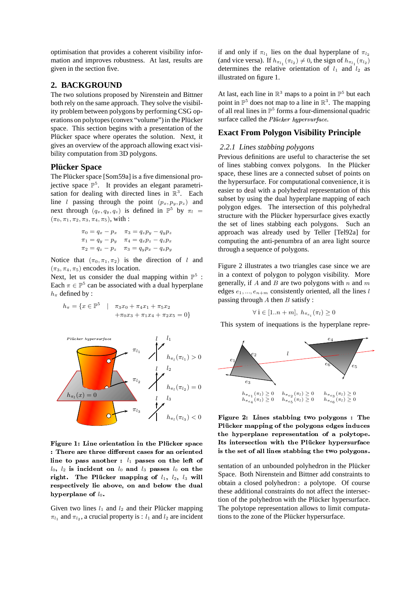optimisation that provides a coherent visibility information and improves robustness. At last, results are given in the section five.

## **2. BACKGROUND**

The two solutions proposed by Nirenstein and Bittner both rely on the same approach. They solve the visibility problem between polygons by performing CSG operations on polytopes (convex "volume") in the Plücker space. This section begins with a presentation of the Plücker space where operates the solution. Next, it gives an overview of the approach allowing exact visibility computation from 3D polygons.

## **Plücker Space**

The Plücker space [Som59a] is a five dimensional projective space  $\mathbb{P}^5$ . It provides an elegant parametrisation for dealing with directed lines in  $\mathbb{R}^3$ . Each line *l* passing through the point  $(p_x, p_y, p_z)$  and next through  $(q_x, q_y, q_z)$  is defined in  $\mathbb{P}^5$  by  $\pi_l =$  $(\pi_0, \pi_1, \pi_2, \pi_3, \pi_4, \pi_5)$ , with :

$$
\pi_0 = q_x - p_x \quad \pi_3 = q_z p_y - q_y p_z
$$
  

$$
\pi_1 = q_y - p_y \quad \pi_4 = q_x p_z - q_z p_x
$$
  

$$
\pi_2 = q_z - p_z \quad \pi_3 = q_y p_x - q_x p_y
$$

Notice that  $(\pi_0, \pi_1, \pi_2)$  is the direction of l and  $(\pi_3, \pi_4, \pi_5)$  encodes its location.

Next, let us consider the dual mapping within  $\mathbb{P}^5$ : Each  $\pi \in \mathbb{P}^5$  can be associated with a dual hyperplane  $h_\pi$  defined by :

$$
h_{\pi} = \{x \in \mathbb{P}^5 \mid \pi_3 x_0 + \pi_4 x_1 + \pi_5 x_2
$$
  
 
$$
+ \pi_0 x_3 + \pi_1 x_4 + \pi_2 x_5 = 0\}
$$



Figure 1: Line orientation in the Plücker space : There are three different cases for an oriented line to pass another :  $l_1$  passes on the left of  $l_0, l_2$  is incident on  $l_0$  and  $l_3$  passes  $l_0$  on the send right. The Plücker mapping of  $l_1, l_2, l_3$  will space. I respectively lie above, on and below the dual hyperplane of  $l_0$ .

Given two lines  $l_1$  and  $l_2$  and their Plücker mapping  $\pi_{l_1}$  and  $\pi_{l_2}$ , a crucial property is :  $l_1$  and  $l_2$  are incident

if and only if  $\pi_{l_1}$  lies on the dual hyperplane of  $\pi_{l_2}$ (and vice versa). If  $h_{\pi_{l_1}}(\pi_{l_2}) \neq 0$ , the sign of  $h_{\pi_{l_1}}(\pi_{l_2})$ determines the relative orientation of  $l_1$  and  $l_2$  as illustrated on figure 1.

At last, each line in  $\mathbb{R}^3$  maps to a point in  $\mathbb{P}^5$  but each point in  $\mathbb{P}^5$  does not map to a line in  $\mathbb{R}^3$ . The mapping of all real lines in  $\mathbb{P}^5$  forms a four-dimensional quadric surface called the Plücker hypersurface.

## **Exact From Polygon Visibility Principle**

#### *2.2.1 Lines stabbing polygons*

Previous definitions are useful to characterise the set of lines stabbing convex polygons. In the Plücker space, these lines are a connected subset of points on the hypersurface. For computational convenience, it is easier to deal with a polyhedral representation of this subset by using the dual hyperplane mapping of each polygon edges. The intersection of this polyhedral structure with the Plücker hypersurface gives exactly the set of lines stabbing each polygons. Such an approach was already used by Teller [Tel92a] for computing the anti-penumbra of an area light source through a sequence of polygons.

Figure 2 illustrates a two triangles case since we are in a context of polygon to polygon visibility. More generally, if A and B are two polygons with  $n$  and  $m$ edges  $e_1, ..., e_{n+m}$  consistently oriented, all the lines l passing through  $A$  then  $B$  satisfy :

$$
\forall i \in [1..n+m], h_{\pi_{e_i}}(\pi_l) \ge 0
$$

This system of inequations is the hyperplane repre-



Figure 2: Lines stabbing two polygons : The Plücker mapping of the polygons edges induces the hyperplane representation of a polytope. Its intersection with the Plücker hypersurface is the set of all lines stabbing the two polygons.  $\;$ 

sentation of an unbounded polyhedron in the Plücker Space. Both Nirenstein and Bittner add constraints to obtain a closed polyhedron : a polytope. Of course these additional constraints do not affect the intersection of the polyhedron with the Plücker hypersurface. The polytope representation allows to limit computations to the zone of the Plücker hypersurface.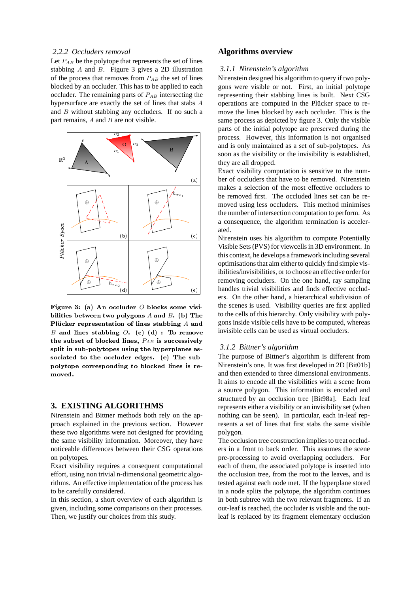## 2.2.2 Occluders removal

Let  $P_{AB}$  be the polytope that represents the set of lines stabbing  $A$  and  $B$ . Figure 3 gives a 2D illustration of the process that removes from  $P_{AB}$  the set of lines blocked by an occluder. This has to be applied to each occluder. The remaining parts of  $P_{AB}$  intersecting the hypersurface are exactly the set of lines that stabs A and  $B$  without stabbing any occluders. If no such a part remains,  $A$  and  $B$  are not visible.



Figure 3: (a) An occluder O blocks some visibilities between two polygons  $A$  and  $B$ . (b) The Plücker representation of lines stabbing A and B and lines stabbing  $O.$  (c) (d) : To remove the subset of blocked lines,  $P_{AB}$  is successively split in sub-polytopes using the hyperplanes associated to the occluder edges. (e) The subpolytope corresponding to blocked lines is removed.

## **3. EXISTING ALGORITHMS**

Nirenstein and Bittner methods both rely on the approach explained in the previous section. However these two algorithms were not designed for providing the same visibility information. Moreover, they have noticeable differences between their CSG operations on polytopes.

Exact visibility requires a consequent computational effort, using non trivial n-dimensional geometric algorithms. An effective implementation of the process has to be carefully considered.

In this section, a short overview of each algorithm is given, including some comparisons on their processes. Then, we justify our choices from this study.

# **Algorithms overview**

#### 3.1.1 Nirenstein's algorithm

Nirenstein designed his algorithm to query if two polygons were visible or not. First, an initial polytope representing their stabbing lines is built. Next CSG operations are computed in the Plücker space to remove the lines blocked by each occluder. This is the same process as depicted by figure 3. Only the visible parts of the initial polytope are preserved during the process. However, this information is not organised and is only maintained as a set of sub-polytopes. As soon as the visibility or the invisibility is established, they are all dropped.

Exact visibility computation is sensitive to the number of occluders that have to be removed. Nirenstein makes a selection of the most effective occluders to be removed first. The occluded lines set can be removed using less occluders. This method minimises the number of intersection computation to perform. As a consequence, the algorithm termination is accelerated.

Nirenstein uses his algorithm to compute Potentially Visible Sets (PVS) for viewcells in 3D environment. In this context, he develops a framework including several optimisations that aim either to quickly find simple visibilities/invisibilities, or to choose an effective order for removing occluders. On the one hand, ray sampling handles trivial visibilities and finds effective occluders. On the other hand, a hierarchical subdivision of the scenes is used. Visibility queries are first applied to the cells of this hierarchy. Only visibility with polygons inside visible cells have to be computed, whereas invisible cells can be used as virtual occluders.

#### 3.1.2 Bittner's algorithm

The purpose of Bittner's algorithm is different from Nirenstein's one. It was first developed in 2D [Bit01b] and then extended to three dimensional environments. It aims to encode all the visibilities with a scene from a source polygon. This information is encoded and structured by an occlusion tree [Bit98a]. Each leaf represents either a visibility or an invisibility set (when nothing can be seen). In particular, each in-leaf represents a set of lines that first stabs the same visible polygon.

The occlusion tree construction implies to treat occluders in a front to back order. This assumes the scene pre-processing to avoid overlapping occluders. For each of them, the associated polytope is inserted into the occlusion tree, from the root to the leaves, and is tested against each node met. If the hyperplane stored in a node splits the polytope, the algorithm continues in both subtree with the two relevant fragments. If an out-leaf is reached, the occluder is visible and the outleaf is replaced by its fragment elementary occlusion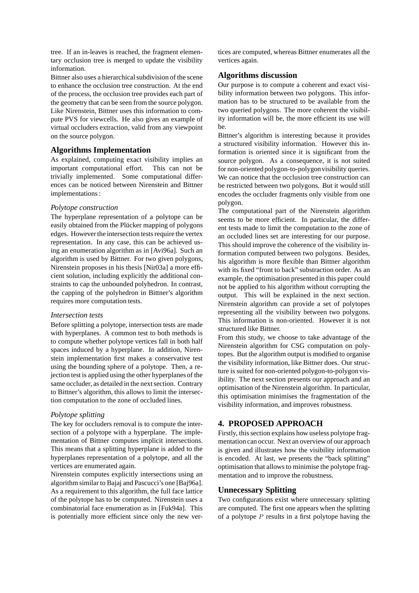tree. If an in-leaves is reached, the fragment elementary occlusion tree is merged to update the visibility information.

Bittner also uses a hierarchical subdivision of the scene to enhance the occlusion tree construction. At the end of the process, the occlusion tree provides each part of the geometry that can be seen from the source polygon. Like Nirenstein, Bittner uses this information to compute PVS for viewcells. He also gives an example of virtual occluders extraction, valid from any viewpoint on the source polygon.

## **Algorithms Implementation**

As explained, computing exact visibility implies an important computational effort. This can not be trivially implemented. Some computational differences can be noticed between Nirenstein and Bittner implementations:

#### *Polytope construction*

The hyperplane representation of a polytope can be easily obtained from the Plücker mapping of polygons edges. However the intersection tests require the vertex representation. In any case, this can be achieved using an enumeration algorithm as in [Avi96a]. Such an algorithm is used by Bittner. For two given polygons, Nirenstein proposes in his thesis [Nir03a] a more efficient solution, including explicitly the additional constraints to cap the unbounded polyhedron. In contrast, the capping of the polyhedron in Bittner's algorithm requires more computation tests.

#### *Intersection tests*

Before splitting a polytope, intersection tests are made with hyperplanes. A common test to both methods is to compute whether polytope vertices fall in both half spaces induced by a hyperplane. In addition, Nirenstein implementation first makes a conservative test using the bounding sphere of a polytope. Then, a rejection test is applied using the other hyperplanes of the same occluder, as detailed in the next section. Contrary to Bittner's algorithm, this allows to limit the intersection computation to the zone of occluded lines.

#### *Polytope splitting*

The key for occluders removal is to compute the intersection of a polytope with a hyperplane. The implementation of Bittner computes implicit intersections. This means that a splitting hyperplane is added to the hyperplanes representation of a polytope, and all the vertices are enumerated again.

Nirenstein computes explicitly intersections using an algorithm similar to Bajaj and Pascucci's one [Baj96a]. As a requirement to this algorithm, the full face lattice of the polytope has to be computed. Nirenstein uses a combinatorial face enumeration as in [Fuk94a]. This is potentially more efficient since only the new vertices are computed, whereas Bittner enumerates all the vertices again.

## **Algorithms discussion**

Our purpose is to compute a coherent and exact visibility information between two polygons. This information has to be structured to be available from the two queried polygons. The more coherent the visibility information will be, the more efficient its use will be.

Bittner's algorithm is interesting because it provides a structured visibility information. However this information is oriented since it is significant from the source polygon. As a consequence, it is not suited for non-oriented polygon-to-polygon visibility queries. We can notice that the occlusion tree construction can be restricted between two polygons. But it would still encodes the occluder fragments only visible from one polygon.

The computational part of the Nirenstein algorithm seems to be more efficient. In particular, the different tests made to limit the computation to the zone of an occluded lines set are interesting for our purpose. This should improve the coherence of the visibility information computed between two polygons. Besides, his algorithm is more flexible than Bittner algorithm with its fixed "front to back" substraction order. As an example, the optimisation presented in this paper could not be applied to his algorithm without corrupting the output. This will be explained in the next section. Nirenstein algorithm can provide a set of polytopes representing all the visibility between two polygons. This information is non-oriented. However it is not structured like Bittner.

From this study, we choose to take advantage of the Nirenstein algorithm for CSG computation on polytopes. But the algorithm output is modified to organise the visibility information, like Bittner does. Our structure is suited for non-oriented polygon-to-polygon visibility. The next section presents our approach and an optimisation of the Nirenstein algorithm. In particular, this optimisation minimises the fragmentation of the visibility information, and improves robustness.

# **4. PROPOSED APPROACH**

Firstly, this section explains how useless polytope fragmentation can occur. Next an overviewof our approach is given and illustrates how the visibility information is encoded. At last, we presents the "back splitting" optimisation that allows to minimise the polytope fragmentation and to improve the robustness.

## **Unnecessary Splitting**

Two configurations exist where unnecessary splitting are computed. The first one appears when the splitting of a polytope  $P$  results in a first polytope having the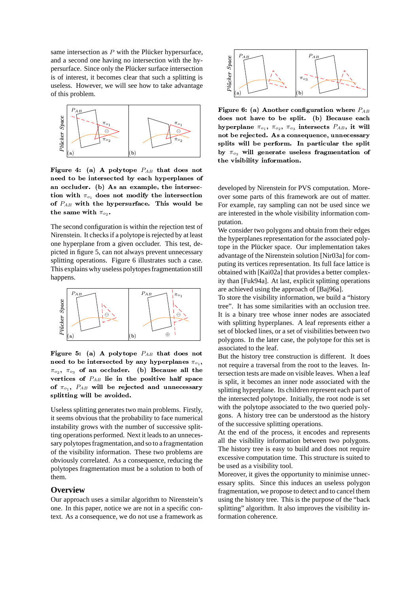same intersection as  $P$  with the Plücker hypersurface, and a second one having no intersection with the hypersurface. Since only the Plücker surface intersection is of interest, it becomes clear that such a splitting is useless. However, we will see how to take advantage of this problem.



Figure 4: (a) A polytope  $P_{AB}$  that does not need to be intersected by each hyperplanes of an occluder. (b) As an example, the intersection with  $\pi_{o_1}$  does not modify the intersection of  $P_{AB}$  with the hypersurface. This would be the same with  $\pi_{o_2}$ .

The second configuration is within the rejection test of Nirenstein. It checks if a polytope is rejected by at least one hyperplane from a given occluder. This test, depicted in figure 5, can not always prevent unnecessary splitting operations. Figure 6 illustrates such a case. This explains why useless polytopes fragmentation still happens.



Figure 5: (a) A polytope  $P_{AB}$  that does not need to be intersected by any hyperplanes  $\pi_{o_1}$ ,  $\pi_{o_2}$ ,  $\pi_{o_3}$  of an occluder. (b) Because all the vertices of  $P_{AB}$  lie in the positive half space of  $\pi_{o_1}$ ,  $P_{AB}$  will be rejected and unnecessary splitting will be avoided.

Useless splitting generates two main problems. Firstly, it seems obvious that the probability to face numerical instability grows with the number of successive splitting operations performed. Next it leads to an unnecessary polytopes fragmentation, and so to a fragmentation of the visibility information. These two problems are obviously correlated. As a consequence, reducing the polytopes fragmentation must be a solution to both of them.

## **Overview**

Our approach uses a similar algorithm to Nirenstein's one. In this paper, notice we are not in a specific context. As a consequence, we do not use a framework as



Figure 6: (a) Another configuration where  $P_{AB}$ does not have to be split. (b) Because each hyperplane  $\pi_{o_1}$ ,  $\pi_{o_2}$ ,  $\pi_{o_3}$  intersects  $P_{AB}$ , it will not be rejected. As a consequence, unnecessary splits will be perform. In particular the split by  $\pi_{o_3}$  will generate useless fragmentation of the visibility information.

developed by Nirenstein for PVS computation. Moreover some parts of this framework are out of matter. For example, ray sampling can not be used since we are interested in the whole visibility information computation.

We consider two polygons and obtain from their edges the hyperplanes representation for the associated polytope in the Plücker space. Our implementation takes advantage of the Nirenstein solution [Nir03a] for computing its vertices representation. Its full face lattice is obtained with [Kai02a] that provides a better complexity than [Fuk94a]. At last, explicit splitting operations are achieved using the approach of [Baj96a].

To store the visibility information, we build a "history" tree". It has some similarities with an occlusion tree. It is a binary tree whose inner nodes are associated with splitting hyperplanes. A leaf represents either a set of blocked lines, or a set of visibilities between two polygons. In the later case, the polytope for this set is associated to the leaf.

But the history tree construction is different. It does not require a traversal from the root to the leaves. Intersection tests are made on visible leaves. When a leaf is split, it becomes an inner node associated with the splitting hyperplane. Its children represent each part of the intersected polytope. Initially, the root node is set with the polytope associated to the two queried polygons. A history tree can be understood as the history of the successive splitting operations.

At the end of the process, it encodes and represents all the visibility information between two polygons. The history tree is easy to build and does not require excessive computation time. This structure is suited to be used as a visibility tool.

Moreover, it gives the opportunity to minimise unnecessary splits. Since this induces an useless polygon fragmentation, we propose to detect and to cancel them using the history tree. This is the purpose of the "back" splitting" algorithm. It also improves the visibility information coherence.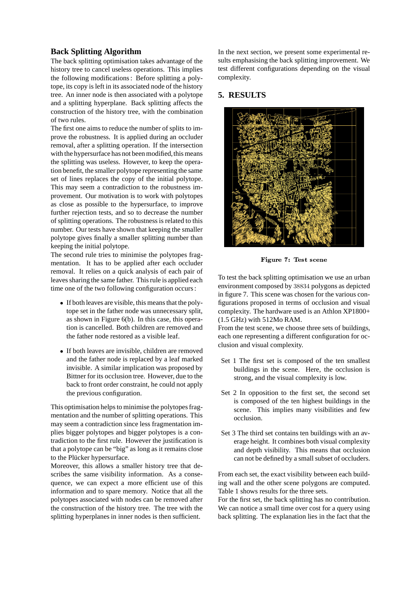# **Back Splitting Algorithm**

The back splitting optimisation takes advantage of the history tree to cancel useless operations. This implies the following modifications: Before splitting a polytope, its copy is left in its associated node of the history tree. An inner node is then associated with a polytope and a splitting hyperplane. Back splitting affects the construction of the history tree, with the combination of two rules.

The first one aims to reduce the number of splits to improve the robustness. It is applied during an occluder removal, after a splitting operation. If the intersection with the hypersurface has not been modified, this means the splitting was useless. However, to keep the operation benefit, the smaller polytope representing the same set of lines replaces the copy of the initial polytope. This may seem a contradiction to the robustness improvement. Our motivation is to work with polytopes as close as possible to the hypersurface, to improve further rejection tests, and so to decrease the number of splitting operations. The robustness is related to this number. Our tests have shown that keeping the smaller polytope gives finally a smaller splitting number than keeping the initial polytope.

The second rule tries to minimise the polytopes fragmentation. It has to be applied after each occluder removal. It relies on a quick analysis of each pair of leaves sharing the same father. This rule is applied each time one of the two following configuration occurs:

- If both leaves are visible, this means that the polytope set in the father node was unnecessary split, as shown in Figure 6(b). In this case, this operation is cancelled. Both children are removed and the father node restored as a visible leaf.
- If both leaves are invisible, children are removed and the father node is replaced by a leaf marked invisible. A similar implication was proposed by Bittner for its occlusion tree. However, due to the back to front order constraint, he could not apply the previous configuration.

This optimisation helps to minimise the polytopes fragmentation and the number of splitting operations. This may seem a contradiction since less fragmentation implies bigger polytopes and bigger polytopes is a contradiction to the first rule. However the justification is that a polytope can be "big" as long as it remains close to the Plücker hypersurface.

Moreover, this allows a smaller history tree that describes the same visibility information. As a consequence, we can expect a more efficient use of this information and to spare memory. Notice that all the polytopes associated with nodes can be removed after the construction of the history tree. The tree with the splitting hyperplanes in inner nodes is then sufficient.

In the next section, we present some experimental results emphasising the back splitting improvement. We test different configurations depending on the visual complexity.

# **5. RESULTS**



Figure 7: Test scene

To test the back splitting optimisation we use an urban environment composed by 38834 polygons as depicted in figure 7. This scene was chosen for the various configurations proposed in terms of occlusion and visual complexity. The hardware used is an Athlon XP1800+ (1.5 GHz) with 512Mo RAM.

From the test scene, we choose three sets of buildings, each one representing a different configuration for occlusion and visual complexity.

- Set 1 The first set is composed of the ten smallest buildings in the scene. Here, the occlusion is strong, and the visual complexity is low.
- Set 2 In opposition to the first set, the second set is composed of the ten highest buildings in the scene. This implies many visibilities and few occlusion.
- Set 3 The third set contains ten buildings with an average height. It combines both visual complexity and depth visibility. This means that occlusion can not be defined by a small subset of occluders.

From each set, the exact visibility between each building wall and the other scene polygons are computed. Table 1 shows results for the three sets.

For the first set, the back splitting has no contribution. We can notice a small time over cost for a query using back splitting. The explanation lies in the fact that the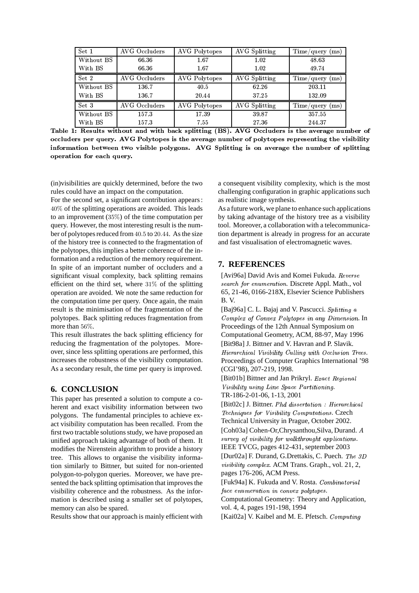| Set 1      | AVG Occluders | AVG Polytopes | <b>AVG</b> Splitting | $Time/query$ (ms) |
|------------|---------------|---------------|----------------------|-------------------|
| Without BS | 66.36         | 1.67          | 1.02                 | 48.63             |
| With BS    | 66 36         | 1.67          | 1.02                 | 49.74             |
| Set 2      | AVG Occluders | AVG Polytopes | <b>AVG</b> Splitting | $Time/query$ (ms) |
| Without BS | 136.7         | 40.5          | 62.26                | 203.11            |
| With BS    | 136.7         | 20.44         | 37.25                | 132.09            |
| Set 3      | AVG Occluders | AVG Polytopes | AVG Splitting        | $Time/query$ (ms) |
| Without BS | 157.3         | 17.39         | 39.87                | 357.55            |
| With BS    | 157.3         | 7.55          | 27.36                | 244.37            |

Table 1: Results without and with back splitting (BS). AVG Occluders is the average number of occluders per query. AVG Polytopes is the average number of polytopes representing the visibility information between two visible polygons. AVG Splitting is on average the number of splitting operation for each query.

(in) visibilities are quickly determined, before the two rules could have an impact on the computation.

For the second set, a significant contribution appears: 40% of the splitting operations are avoided. This leads to an improvement  $(35\%)$  of the time computation per query. However, the most interesting result is the number of polytopes reduced from 40.5 to 20.44. As the size of the history tree is connected to the fragmentation of the polytopes, this implies a better coherence of the information and a reduction of the memory requirement. In spite of an important number of occluders and a significant visual complexity, back splitting remains efficient on the third set, where  $31\%$  of the splitting operation are avoided. We note the same reduction for the computation time per query. Once again, the main result is the minimisation of the fragmentation of the polytopes. Back splitting reduces fragmentation from more than 56%.

This result illustrates the back splitting efficiency for reducing the fragmentation of the polytopes. Moreover, since less splitting operations are performed, this increases the robustness of the visibility computation. As a secondary result, the time per query is improved.

## **6. CONCLUSION**

This paper has presented a solution to compute a coherent and exact visibility information between two polygons. The fundamental principles to achieve exact visibility computation has been recalled. From the first two tractable solutions study, we have proposed an unified approach taking advantage of both of them. It modifies the Nirenstein algorithm to provide a history tree. This allows to organise the visibility information similarly to Bittner, but suited for non-oriented polygon-to-polygon queries. Moreover, we have presented the back splitting optimisation that improves the visibility coherence and the robustness. As the information is described using a smaller set of polytopes, memory can also be spared.

Results show that our approach is mainly efficient with

a consequent visibility complexity, which is the most challenging configuration in graphic applications such as realistic image synthesis.

As a future work, we plane to enhance such applications by taking advantage of the history tree as a visibility tool. Moreover, a collaboration with a telecommunication department is already in progress for an accurate and fast visualisation of electromagnetic waves.

## 7. REFERENCES

[Avi96a] David Avis and Komei Fukuda. Reverse search for enumeration. Discrete Appl. Math., vol 65, 21-46, 0166-218X, Elsevier Science Publishers  $B. V.$ 

[Baj96a] C. L. Bajaj and V. Pascucci. Splitting a Complex of Convex Polytopes in any Dimension. In Proceedings of the 12th Annual Symposium on Computational Geometry, ACM, 88-97, May 1996 [Bit98a] J. Bittner and V. Havran and P. Slavik. Hierarchical Visibility Culling with Occlusion Trees. Proceedings of Computer Graphics International '98 (CGI'98), 207-219, 1998.

[Bit01b] Bittner and Jan Prikryl. Exact Regional Visibility using Line Space Partitioning. TR-186-2-01-06, 1-13, 2001

[Bit02c] J. Bittner. Phd dissertation : Hierarchical Techniques for Visibility Computations. Czech Technical University in Prague, October 2002.

[Coh03a] Cohen-Or, Chrysanthou, Silva, Durand. A survey of visibility for walkthrought applications. IEEE TVCG, pages 412-431, september 2003

[Dur02a] F. Durand, G.Drettakis, C. Puech. The 3D *visibility complex.* ACM Trans. Graph., vol. 21, 2, pages 176-206, ACM Press.

[Fuk94a] K. Fukuda and V. Rosta. Combinatorial face enumeration in convex polytopes.

Computational Geometry: Theory and Application, vol. 4, 4, pages 191-198, 1994

[Kai02a] V. Kaibel and M. E. Pfetsch. Computing